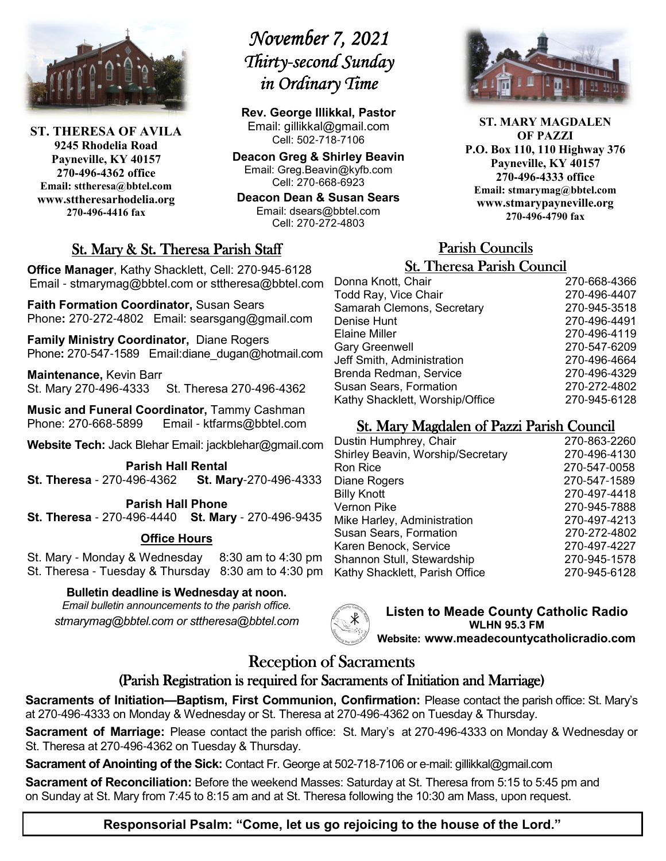

**ST. THERESA OF AVILA 9245 Rhodelia Road Payneville, KY 40157 270-496-4362 office Email: sttheresa@bbtel.com www.sttheresarhodelia.org 270-496-4416 fax**

# *November 7, 2021 November 2021 Thirty- Thirty-second Sunday second Sunday Sunday in Ordinary Time*

**Rev. George Illikkal, Pastor** Email: gillikkal@gmail.com Cell: 502-718-7106

**Deacon Greg & Shirley Beavin** Email: Greg.Beavin@kyfb.com Cell: 270-668-6923

**Deacon Dean & Susan Sears** Email: dsears@bbtel.com Cell: 270-272-4803

## St. Mary & St. Theresa Parish Staff

**Office Manager**, Kathy Shacklett, Cell: 270-945-6128 Email - stmarymag@bbtel.com or sttheresa@bbtel.com

**Faith Formation Coordinator,** Susan Sears Phone**:** 270-272-4802Email: searsgang@gmail.com

**Family Ministry Coordinator,** Diane Rogers Phone: 270-547-1589 Email:diane\_dugan@hotmail.com

**Maintenance,** Kevin Barr St. Mary 270-496-4333 St. Theresa 270-496-4362

**Music and Funeral Coordinator,** Tammy Cashman Phone: 270-668-5899 Email - ktfarms@bbtel.com

**Website Tech:** Jack Blehar Email: jackblehar@gmail.com

**Parish Hall Rental St. Theresa** - 270-496-4362 **St. Mary**-270-496-4333

**Parish Hall Phone St. Theresa** - 270-496-4440 **St. Mary** - 270-496-9435

#### **Office Hours**

St. Mary - Monday & Wednesday 8:30 am to 4:30 pm St. Theresa - Tuesday & Thursday 8:30 am to 4:30 pm

#### **Bulletin deadline is Wednesday at noon.**

*Email bulletin announcements to the parish office. stmarymag@bbtel.com or sttheresa@bbtel.com*



**Listen to Meade County Catholic Radio WLHN 95.3 FM Website: www.meadecountycatholicradio.com**

## Reception of Sacraments

## (Parish Registration is required for Sacraments of Initiation and Marriage)

**Sacraments of Initiation—Baptism, First Communion, Confirmation:** Please contact the parish office: St. Mary's at 270-496-4333 on Monday & Wednesday or St. Theresa at 270-496-4362 on Tuesday & Thursday.

**Sacrament of Marriage:** Please contact the parish office: St. Mary's at 270-496-4333 on Monday & Wednesday or St. Theresa at 270-496-4362 on Tuesday & Thursday.

**Sacrament of Anointing of the Sick:** Contact Fr. George at 502-718-7106 or e-mail: gillikkal@gmail.com

**Sacrament of Reconciliation:** Before the weekend Masses: Saturday at St. Theresa from 5:15 to 5:45 pm and on Sunday at St. Mary from 7:45 to 8:15 am and at St. Theresa following the 10:30 am Mass, upon request.

**ST. MARY MAGDALEN OF PAZZI P.O. Box 110, 110 Highway 376 Payneville, KY 40157 270-496-4333 office Email: stmarymag@bbtel.com www.stmarypayneville.org 270-496-4790 fax**

# Parish Councils Parish Councils

| <b>St. Theresa Parish Council</b> |              |  |
|-----------------------------------|--------------|--|
| Donna Knott, Chair                | 270-668-4366 |  |
| Todd Ray, Vice Chair              | 270-496-4407 |  |
| Samarah Clemons, Secretary        | 270-945-3518 |  |
| Denise Hunt                       | 270-496-4491 |  |
| Elaine Miller                     | 270-496-4119 |  |
| <b>Gary Greenwell</b>             | 270-547-6209 |  |
| Jeff Smith, Administration        | 270-496-4664 |  |
| Brenda Redman, Service            | 270-496-4329 |  |
| <b>Susan Sears, Formation</b>     | 270-272-4802 |  |
| Kathy Shacklett, Worship/Office   | 270-945-6128 |  |

## St. Mary Magdalen of Pazzi Parish Council

| Dustin Humphrey, Chair            | 270-863-2260 |
|-----------------------------------|--------------|
| Shirley Beavin, Worship/Secretary | 270-496-4130 |
| Ron Rice                          | 270-547-0058 |
| Diane Rogers                      | 270-547-1589 |
| <b>Billy Knott</b>                | 270-497-4418 |
| Vernon Pike                       | 270-945-7888 |
| Mike Harley, Administration       | 270-497-4213 |
| <b>Susan Sears, Formation</b>     | 270-272-4802 |
| Karen Benock, Service             | 270-497-4227 |
| Shannon Stull, Stewardship        | 270-945-1578 |
| Kathy Shacklett, Parish Office    | 270-945-6128 |
|                                   |              |

**Responsorial Psalm: "Come, let us go rejoicing to the house of the Lord."**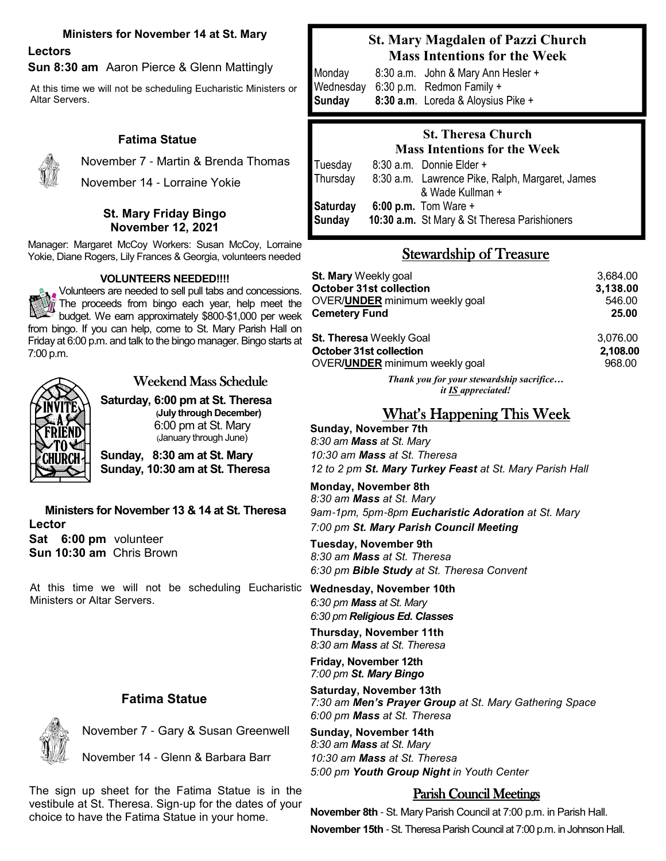#### **Ministers for November 14 at St. Mary**

**Lectors**

**Sun 8:30 am** Aaron Pierce & Glenn Mattingly

At this time we will not be scheduling Eucharistic Ministers or Altar Servers.

### **Fatima Statue**



November 7 - Martin & Brenda Thomas November 14 - Lorraine Yokie

#### **St. Mary Friday Bingo November 12, 2021**

Manager: Margaret McCoy Workers: Susan McCoy, Lorraine Yokie, Diane Rogers, Lily Frances & Georgia, volunteers needed

#### **VOLUNTEERS NEEDED!!!!**

 $\sum_{k=1}^{\infty}$  Volunteers are needed to sell pull tabs and concessions. The proceeds from bingo each year, help meet the budget. We earn approximately \$800-\$1,000 per week from bingo. If you can help, come to St. Mary Parish Hall on Friday at 6:00 p.m. and talk to the bingo manager. Bingo starts at 7:00 p.m.



## Weekend Mass Schedule

**Saturday, 6:00 pm at St. Theresa (July through December)**  6:00 pm at St. Mary (January through June)

**Sunday, 8:30 am at St. Mary Sunday, 10:30 am at St. Theresa**

**Ministers for November 13 & 14 at St. Theresa Lector Sat 6:00 pm** volunteer **Sun 10:30 am** Chris Brown

At this time we will not be scheduling Eucharistic Ministers or Altar Servers.

#### **Fatima Statue**

November 7 - Gary & Susan Greenwell

November 14 - Glenn & Barbara Barr

The sign up sheet for the Fatima Statue is in the vestibule at St. Theresa. Sign-up for the dates of your choice to have the Fatima Statue in your home.

## **St. Mary Magdalen of Pazzi Church Mass Intentions for the Week**

Monday8:30 a.m. John & Mary Ann Hesler + Wednesday 6:30 p.m. Redmon Family + **Sunday 8:30 a.m**. Loreda & Aloysius Pike +

#### **St. Theresa Church Mass Intentions for the Week**

Tuesday 8:30 a.m. Donnie Elder + Thursday 8:30 a.m. Lawrence Pike, Ralph, Margaret, James & Wade Kullman + **Saturday 6:00 p.m.** Tom Ware + **Sunday 10:30 a.m.** St Mary & St Theresa Parishioners

## Stewardship of Treasure

| St. Mary Weekly goal                   | 3.684.00 |
|----------------------------------------|----------|
| <b>October 31st collection</b>         | 3,138.00 |
| OVER/ <b>UNDER</b> minimum weekly goal | 546.00   |
| Cemetery Fund                          | 25.00    |
| St. Theresa Weekly Goal                | 3.076.00 |
| October 31st collection                | 2,108.00 |
| OVER/UNDER minimum weekly goal         | 968.00   |

*Thank you for your stewardship sacrifice… it IS appreciated!*

## What's Happening This Week

**Sunday, November 7th** *8:30 am Mass at St. Mary 10:30 am Mass at St. Theresa 12 to 2 pm St. Mary Turkey Feast at St. Mary Parish Hall* 

**Monday, November 8th** *8:30 am Mass at St. Mary 9am*-*1pm, 5pm*-*8pm Eucharistic Adoration at St. Mary 7:00 pm St. Mary Parish Council Meeting*

**Tuesday, November 9th** *8:30 am Mass at St. Theresa*

*6:30 pm Bible Study at St. Theresa Convent*

**Wednesday, November 10th** *6:30 pm Mass at St. Mary 6:30 pm Religious Ed. Classes* 

**Thursday, November 11th** *8:30 am Mass at St. Theresa*

**Friday, November 12th** *7:00 pm St. Mary Bingo*

**Saturday, November 13th** *7:30 am Men's Prayer Group at St. Mary Gathering Space 6:00 pm Mass at St. Theresa*

**Sunday, November 14th** *8:30 am Mass at St. Mary 10:30 am Mass at St. Theresa 5:00 pm Youth Group Night in Youth Center*

## Parish Council Meetings

**November 8th** - St. Mary Parish Council at 7:00 p.m. in Parish Hall.

**November 15th** - St. Theresa Parish Council at 7:00 p.m. in Johnson Hall.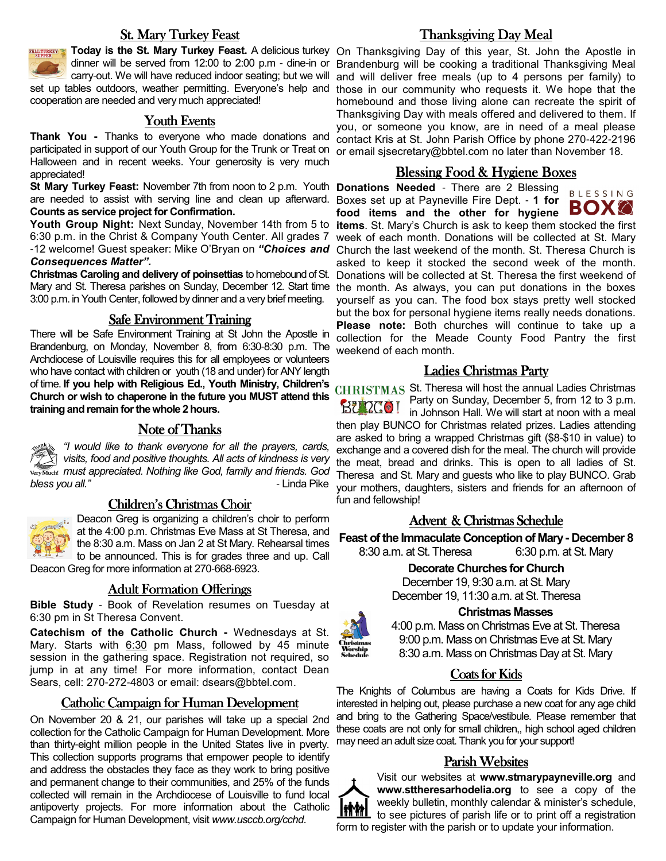#### **St. Mary Turkey Feast**



dinner will be served from 12:00 to 2:00 p.m - dine-in or carry-out. We will have reduced indoor seating; but we will

set up tables outdoors, weather permitting. Everyone's help and cooperation are needed and very much appreciated!

#### Youth Events

 **Thank You -** Thanks to everyone who made donations and participated in support of our Youth Group for the Trunk or Treat on Halloween and in recent weeks. Your generosity is very much appreciated!

**St Mary Turkey Feast:** November 7th from noon to 2 p.m. Youth **Donations Needed** - There are 2 Blessing are needed to assist with serving line and clean up afterward. Boxes set up at Payneville Fire Dept. - **1 for Counts as service project for Confirmation.** 

6:30 p.m. in the Christ & Company Youth Center. All grades 7 -12 welcome! Guest speaker: Mike O'Bryan on *"Choices and Consequences Matter".*

**Christmas Caroling and delivery of poinsettias** to homebound of St. Mary and St. Theresa parishes on Sunday, December 12. Start time 3:00 p.m. in Youth Center, followed by dinner and a very brief meeting.

#### Safe Environment Training

There will be Safe Environment Training at St John the Apostle in Brandenburg, on Monday, November 8, from 6:30-8:30 p.m. The Archdiocese of Louisville requires this for all employees or volunteers who have contact with children or youth (18 and under) for ANY length of time. **If you help with Religious Ed., Youth Ministry, Children's**  St. Theresa will host the annual Ladies Christmas **Church or wish to chaperone in the future you MUST attend this training and remain for the whole 2 hours.** 

#### Note of Thanks

*"I would like to thank everyone for all the prayers, cards, visits, food and positive thoughts. All acts of kindness is very must appreciated. Nothing like God, family and friends. God*  bless you all."

#### Children's Christmas Choir



Deacon Greg is organizing a children's choir to perform at the 4:00 p.m. Christmas Eve Mass at St Theresa, and the 8:30 a.m. Mass on Jan 2 at St Mary. Rehearsal times to be announced. This is for grades three and up. Call

Deacon Greg for more information at 270-668-6923.

#### **Adult Formation Offerings**

**Bible Study** - Book of Revelation resumes on Tuesday at 6:30 pm in St Theresa Convent.

**Catechism of the Catholic Church -** Wednesdays at St. Mary. Starts with 6:30 pm Mass, followed by 45 minute session in the gathering space. Registration not required, so jump in at any time! For more information, contact Dean Sears, cell: 270-272-4803 or email: dsears@bbtel.com.

#### Catholic Campaign for Human Development

On November 20 & 21, our parishes will take up a special 2nd collection for the Catholic Campaign for Human Development. More than thirty-eight million people in the United States live in pverty. This collection supports programs that empower people to identify and address the obstacles they face as they work to bring positive and permanent change to their communities, and 25% of the funds collected will remain in the Archdiocese of Louisville to fund local antipoverty projects. For more information about the Catholic Campaign for Human Development, visit *www.usccb.org/cchd*.

#### Thanksgiving Day Meal

**Today is the St. Mary Turkey Feast.** A delicious turkey On Thanksgiving Day of this year, St. John the Apostle in Brandenburg will be cooking a traditional Thanksgiving Meal and will deliver free meals (up to 4 persons per family) to those in our community who requests it. We hope that the homebound and those living alone can recreate the spirit of Thanksgiving Day with meals offered and delivered to them. If you, or someone you know, are in need of a meal please contact Kris at St. John Parish Office by phone 270-422-2196 or email sjsecretary@bbtel.com no later than November 18.

#### Blessing Food & Hygiene Boxes

**BLESSING** BOXK **food items and the other for hygiene Youth Group Night:** Next Sunday, November 14th from 5 to **items**. St. Mary's Church is ask to keep them stocked the first week of each month. Donations will be collected at St. Mary Church the last weekend of the month. St. Theresa Church is asked to keep it stocked the second week of the month. Donations will be collected at St. Theresa the first weekend of the month. As always, you can put donations in the boxes yourself as you can. The food box stays pretty well stocked but the box for personal hygiene items really needs donations. **Please note:** Both churches will continue to take up a collection for the Meade County Food Pantry the first weekend of each month.

#### Ladies Christmas Party

Party on Sunday, December 5, from 12 to 3 p.m. **BURGO!** in Johnson Hall. We will start at noon with a meal then play BUNCO for Christmas related prizes. Ladies attending are asked to bring a wrapped Christmas gift (\$8-\$10 in value) to exchange and a covered dish for the meal. The church will provide the meat, bread and drinks. This is open to all ladies of St. Theresa and St. Mary and guests who like to play BUNCO. Grab your mothers, daughters, sisters and friends for an afternoon of fun and fellowship!

#### Advent & Christmas Schedule

**Feast of the Immaculate Conception of Mary - December 8**

8:30 a.m. at St. Theresa 6:30 p.m. at St. Mary **Decorate Churches for Church**

December 19, 9:30 a.m. at St. Mary December 19, 11:30 a.m. at St. Theresa

#### **Christmas Masses**



4:00 p.m. Mass on Christmas Eve at St. Theresa 9:00 p.m. Mass on Christmas Eve at St. Mary 8:30 a.m. Mass on Christmas Day at St. Mary

### Coats for Kids

The Knights of Columbus are having a Coats for Kids Drive. If interested in helping out, please purchase a new coat for any age child and bring to the Gathering Space/vestibule. Please remember that these coats are not only for small children,, high school aged children may need an adult size coat. Thank you for your support!

#### Parish Websites



Visit our websites at **www.stmarypayneville.org** and **www.sttheresarhodelia.org** to see a copy of the weekly bulletin, monthly calendar & minister's schedule, to see pictures of parish life or to print off a registration form to register with the parish or to update your information.